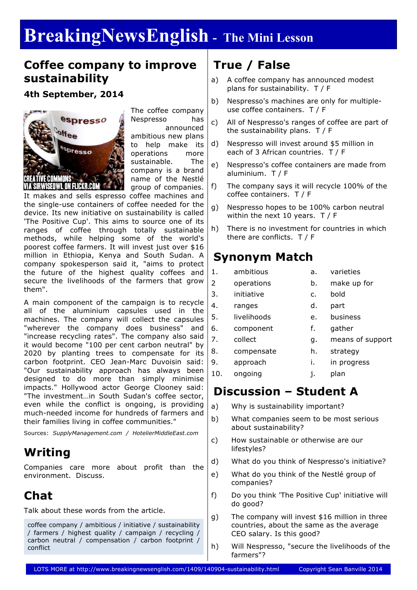# **BreakingNewsEnglish - The Mini Lesson**

#### **Coffee company to improve sustainability**

**4th September, 2014**



The coffee company Nespresso has announced ambitious new plans to help make its operations more sustainable. The company is a brand name of the Nestlé  $\bullet$  group of companies.

It makes and sells espresso coffee machines and the single-use containers of coffee needed for the device. Its new initiative on sustainability is called 'The Positive Cup'. This aims to source one of its ranges of coffee through totally sustainable methods, while helping some of the world's poorest coffee farmers. It will invest just over \$16 million in Ethiopia, Kenya and South Sudan. A company spokesperson said it, "aims to protect the future of the highest quality coffees and secure the livelihoods of the farmers that grow them".

A main component of the campaign is to recycle all of the aluminium capsules used in the machines. The company will collect the capsules "wherever the company does business" and "increase recycling rates". The company also said it would become "100 per cent carbon neutral" by 2020 by planting trees to compensate for its carbon footprint. CEO Jean-Marc Duvoisin said: "Our sustainability approach has always been designed to do more than simply minimise impacts." Hollywood actor George Clooney said: "The investment…in South Sudan's coffee sector, even while the conflict is ongoing, is providing much-needed income for hundreds of farmers and their families living in coffee communities."

Sources: *SupplyManagement.com / HotelierMiddleEast.com*

### **Writing**

Companies care more about profit than the environment. Discuss.

### **Chat**

Talk about these words from the article.

coffee company / ambitious / initiative / sustainability / farmers / highest quality / campaign / recycling / carbon neutral / compensation / carbon footprint / conflict

# **True / False**

- a) A coffee company has announced modest plans for sustainability. T / F
- b) Nespresso's machines are only for multipleuse coffee containers. T / F
- c) All of Nespresso's ranges of coffee are part of the sustainability plans. T / F
- d) Nespresso will invest around \$5 million in each of 3 African countries. T / F
- e) Nespresso's coffee containers are made from aluminium. T / F
- f) The company says it will recycle 100% of the coffee containers. T / F
- g) Nespresso hopes to be 100% carbon neutral within the next 10 years. T / F
- h) There is no investment for countries in which there are conflicts. T / F

### **Synonym Match**

- 1. ambitious a. varieties
- 2 operations b. make up for
	-
- 3. initiative c. bold
	-
- 4. ranges d. part
- 5. livelihoods e. business
- 6. component f. gather
	-
- 7. collect g. means of support
- 8. compensate h. strategy
- 9. approach i. in progress
- 10. ongoing i. plan

# **Discussion – Student A**

- a) Why is sustainability important?
- b) What companies seem to be most serious about sustainability?
- c) How sustainable or otherwise are our lifestyles?
- d) What do you think of Nespresso's initiative?
- e) What do you think of the Nestlé group of companies?
- f) Do you think 'The Positive Cup' initiative will do good?
- g) The company will invest \$16 million in three countries, about the same as the average CEO salary. Is this good?
- h) Will Nespresso, "secure the livelihoods of the farmers"?